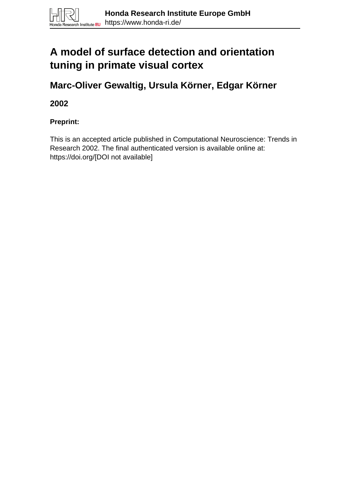# **A model of surface detection and orientation tuning in primate visual cortex**

**Marc-Oliver Gewaltig, Ursula Körner, Edgar Körner**

**2002**

**Preprint:**

This is an accepted article published in Computational Neuroscience: Trends in Research 2002. The final authenticated version is available online at: https://doi.org/[DOI not available]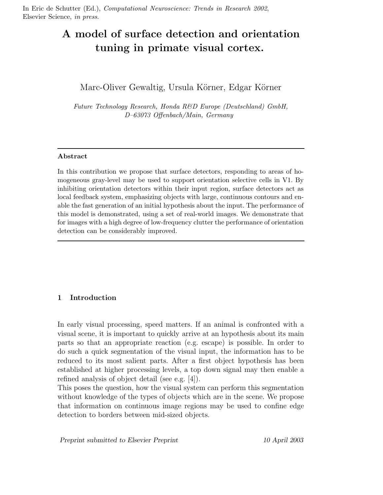In Eric de Schutter (Ed.), Computational Neuroscience: Trends in Research 2002, Elsevier Science, in press.

## A model of surface detection and orientation tuning in primate visual cortex.

### Marc-Oliver Gewaltig, Ursula Körner, Edgar Körner

Future Technology Research, Honda R&D Europe (Deutschland) GmbH, D–63073 Offenbach/Main, Germany

#### Abstract

In this contribution we propose that surface detectors, responding to areas of homogeneous gray-level may be used to support orientation selective cells in V1. By inhibiting orientation detectors within their input region, surface detectors act as local feedback system, emphasizing objects with large, continuous contours and enable the fast generation of an initial hypothesis about the input. The performance of this model is demonstrated, using a set of real-world images. We demonstrate that for images with a high degree of low-frequency clutter the performance of orientation detection can be considerably improved.

#### 1 Introduction

In early visual processing, speed matters. If an animal is confronted with a visual scene, it is important to quickly arrive at an hypothesis about its main parts so that an appropriate reaction (e.g. escape) is possible. In order to do such a quick segmentation of the visual input, the information has to be reduced to its most salient parts. After a first object hypothesis has been established at higher processing levels, a top down signal may then enable a refined analysis of object detail (see e.g. [4]).

This poses the question, how the visual system can perform this segmentation without knowledge of the types of objects which are in the scene. We propose that information on continuous image regions may be used to confine edge detection to borders between mid-sized objects.

Preprint submitted to Elsevier Preprint 10 April 2003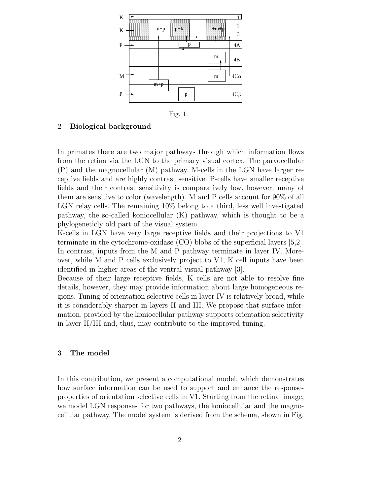

Fig. 1.

#### 2 Biological background

In primates there are two major pathways through which information flows from the retina via the LGN to the primary visual cortex. The parvocellular (P) and the magnocellular (M) pathway. M-cells in the LGN have larger receptive fields and are highly contrast sensitive. P-cells have smaller receptive fields and their contrast sensitivity is comparatively low, however, many of them are sensitive to color (wavelength). M and P cells account for 90% of all LGN relay cells. The remaining 10% belong to a third, less well investigated pathway, the so-called koniocellular (K) pathway, which is thought to be a phylogeneticly old part of the visual system.

K-cells in LGN have very large receptive fields and their projections to V1 terminate in the cytochrome-oxidase (CO) blobs of the superficial layers [5,2]. In contrast, inputs from the M and P pathway terminate in layer IV. Moreover, while M and P cells exclusively project to V1, K cell inputs have been identified in higher areas of the ventral visual pathway [3].

Because of their large receptive fields, K cells are not able to resolve fine details, however, they may provide information about large homogeneous regions. Tuning of orientation selective cells in layer IV is relatively broad, while it is considerably sharper in layers II and III. We propose that surface information, provided by the koniocellular pathway supports orientation selectivity in layer II/III and, thus, may contribute to the improved tuning.

#### 3 The model

In this contribution, we present a computational model, which demonstrates how surface information can be used to support and enhance the responseproperties of orientation selective cells in V1. Starting from the retinal image, we model LGN responses for two pathways, the koniocellular and the magnocellular pathway. The model system is derived from the schema, shown in Fig.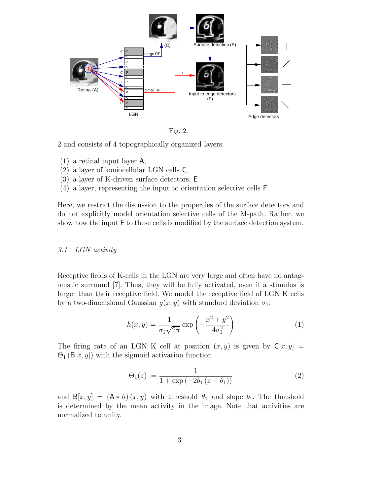

Fig. 2.

2 and consists of 4 topographically organized layers.

- (1) a retinal input layer A,
- (2) a layer of koniocellular LGN cells C,
- (3) a layer of K-driven surface detectors, E
- (4) a layer, representing the input to orientation selective cells F.

Here, we restrict the discussion to the properties of the surface detectors and do not explicitly model orientation selective cells of the M-path. Rather, we show how the input F to these cells is modified by the surface detection system.

#### 3.1 LGN activity

Receptive fields of K-cells in the LGN are very large and often have no antagonistic surround [7]. Thus, they will be fully activated, even if a stimulus is larger than their receptive field. We model the receptive field of LGN K cells by a two-dimensional Gaussian  $g(x, y)$  with standard deviation  $\sigma_1$ :

$$
h(x,y) = \frac{1}{\sigma_1 \sqrt{2\pi}} \exp\left(-\frac{x^2 + y^2}{4\sigma_1^2}\right)
$$
 (1)

The firing rate of an LGN K cell at position  $(x, y)$  is given by  $\mathsf{C}[x, y] =$  $\Theta_1$  (B[x, y]) with the sigmoid activation function

$$
\Theta_1(z) := \frac{1}{1 + \exp(-2b_1(z - \theta_1))}
$$
 (2)

and  $B[x, y] = (A * h)(x, y)$  with threshold  $\theta_1$  and slope  $b_1$ . The threshold is determined by the mean activity in the image. Note that activities are normalized to unity.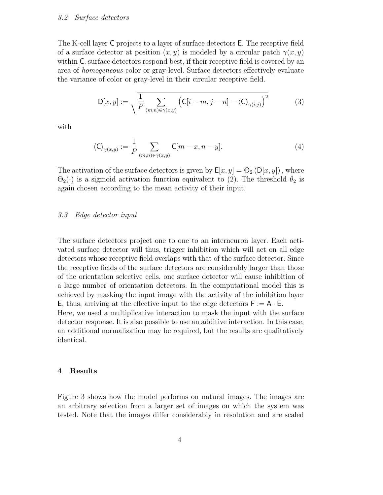#### 3.2 Surface detectors

The K-cell layer C projects to a layer of surface detectors E. The receptive field of a surface detector at position  $(x, y)$  is modeled by a circular patch  $\gamma(x, y)$ within C. surface detectors respond best, if their receptive field is covered by an area of homogeneous color or gray-level. Surface detectors effectively evaluate the variance of color or gray-level in their circular receptive field.

$$
D[x,y] := \sqrt{\frac{1}{P} \sum_{(m,n) \in \gamma(x,y)} \left( C[i-m, j-n] - \langle C \rangle_{\gamma(i,j)} \right)^2}
$$
(3)

with

$$
\langle \mathsf{C} \rangle_{\gamma(x,y)} := \frac{1}{P} \sum_{(m,n) \in \gamma(x,y)} \mathsf{C}[m-x, n-y]. \tag{4}
$$

The activation of the surface detectors is given by  $\mathsf{E}[x, y] = \Theta_2(\mathsf{D}[x, y])$ , where  $\Theta_2(\cdot)$  is a sigmoid activation function equivalent to (2). The threshold  $\theta_2$  is again chosen according to the mean activity of their input.

#### 3.3 Edge detector input

The surface detectors project one to one to an interneuron layer. Each activated surface detector will thus, trigger inhibition which will act on all edge detectors whose receptive field overlaps with that of the surface detector. Since the receptive fields of the surface detectors are considerably larger than those of the orientation selective cells, one surface detector will cause inhibition of a large number of orientation detectors. In the computational model this is achieved by masking the input image with the activity of the inhibition layer E, thus, arriving at the effective input to the edge detectors  $F := A \cdot E$ .

Here, we used a multiplicative interaction to mask the input with the surface detector response. It is also possible to use an additive interaction. In this case, an additional normalization may be required, but the results are qualitatively identical.

#### 4 Results

Figure 3 shows how the model performs on natural images. The images are an arbitrary selection from a larger set of images on which the system was tested. Note that the images differ considerably in resolution and are scaled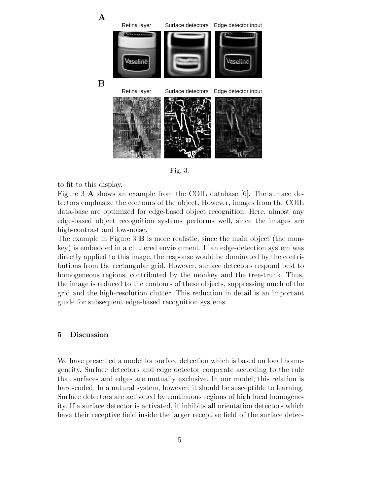

Fig. 3.

to fit to this display.

Figure 3 A shows an example from the COIL database [6]. The surface detectors emphasize the contours of the object. However, images from the COIL data-base are optimized for edge-based object recognition. Here, almost any edge-based object recognition systems performs well, since the images are high-contrast and low-noise.

The example in Figure 3  $\bf{B}$  is more realistic, since the main object (the monkey) is embedded in a cluttered environment. If an edge-detection system was directly applied to this image, the response would be dominated by the contributions from the rectangular grid. However, surface detectors respond best to homogeneous regions, contributed by the monkey and the tree-trunk. Thus, the image is reduced to the contours of these objects, suppressing much of the grid and the high-resolution clutter. This reduction in detail is an important guide for subsequent edge-based recognition systems.

#### 5 Discussion

We have presented a model for surface detection which is based on local homogeneity. Surface detectors and edge detector cooperate according to the rule that surfaces and edges are mutually exclusive. In our model, this relation is hard-coded. In a natural system, however, it should be susceptible to learning. Surface detectors are activated by continuous regions of high local homogeneity. If a surface detector is activated, it inhibits all orientation detectors which have their receptive field inside the larger receptive field of the surface detec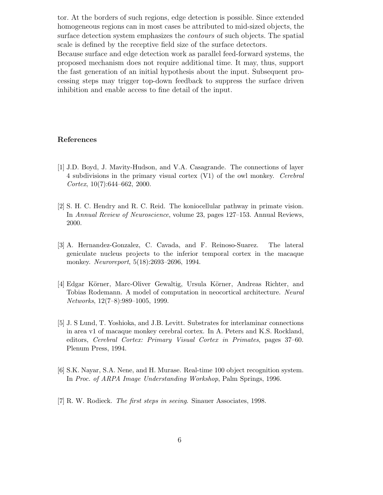tor. At the borders of such regions, edge detection is possible. Since extended homogeneous regions can in most cases be attributed to mid-sized objects, the surface detection system emphasizes the contours of such objects. The spatial scale is defined by the receptive field size of the surface detectors.

Because surface and edge detection work as parallel feed-forward systems, the proposed mechanism does not require additional time. It may, thus, support the fast generation of an initial hypothesis about the input. Subsequent processing steps may trigger top-down feedback to suppress the surface driven inhibition and enable access to fine detail of the input.

#### References

- [1] J.D. Boyd, J. Mavity-Hudson, and V.A. Casagrande. The connections of layer 4 subdivisions in the primary visual cortex (V1) of the owl monkey. Cerebral Cortex,  $10(7):644-662$ ,  $2000$ .
- [2] S. H. C. Hendry and R. C. Reid. The koniocellular pathway in primate vision. In Annual Review of Neuroscience, volume 23, pages 127–153. Annual Reviews, 2000.
- [3] A. Hernandez-Gonzalez, C. Cavada, and F. Reinoso-Suarez. The lateral geniculate nucleus projects to the inferior temporal cortex in the macaque monkey. Neuroreport, 5(18):2693–2696, 1994.
- [4] Edgar Körner, Marc-Oliver Gewaltig, Ursula Körner, Andreas Richter, and Tobias Rodemann. A model of computation in neocortical architecture. Neural Networks, 12(7–8):989–1005, 1999.
- [5] J. S Lund, T. Yoshioka, and J.B. Levitt. Substrates for interlaminar connections in area v1 of macaque monkey cerebral cortex. In A. Peters and K.S. Rockland, editors, Cerebral Cortex: Primary Visual Cortex in Primates, pages 37–60. Plenum Press, 1994.
- [6] S.K. Nayar, S.A. Nene, and H. Murase. Real-time 100 object recognition system. In Proc. of ARPA Image Understanding Workshop, Palm Springs, 1996.
- [7] R. W. Rodieck. The first steps in seeing. Sinauer Associates, 1998.